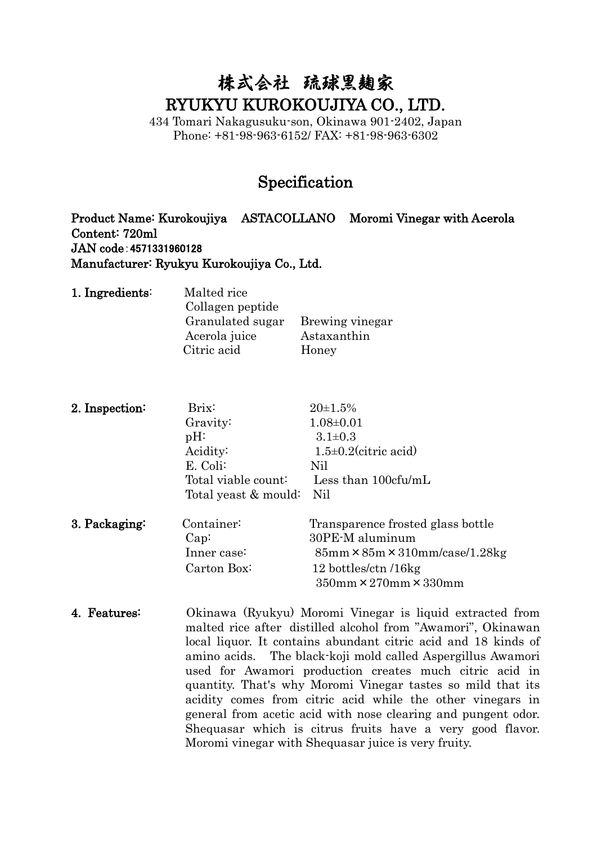## 株式会社 疏球黑麹家 RYUKYU KUROKOUJIYA CO., LTD.

434 Tomari Nakagusuku-son, Okinawa 901-2402, Japan Phone: +81-98-963-6152/ FAX: +81-98-963-6302

## Specification

Product Name: Kurokoujiya ASTACOLLANO Moromi Vinegar with Acerola Content: 720ml JAN code:4571331960128 Manufacturer: Ryukyu Kurokoujiya Co., Ltd.

| Malted rice      |                 |
|------------------|-----------------|
| Collagen peptide |                 |
| Granulated sugar | Brewing vinegar |
| Acerola juice    | Astaxanthin     |
| Citric acid      | Honey           |
|                  |                 |

| 2. Inspection: | Brix:                | $20 \pm 1.5\%$                                        |
|----------------|----------------------|-------------------------------------------------------|
|                | Gravity:             | $1.08 \pm 0.01$                                       |
|                | $pH$ :               | $3.1 \pm 0.3$                                         |
|                | Acidity:             | $1.5 \pm 0.2$ (citric acid)                           |
|                | E. Coli:             | Nil                                                   |
|                | Total viable count:  | Less than $100c$ fu/mL                                |
|                | Total yeast & mould: | Nil                                                   |
| 3. Packaging:  | Container:           | Transparence frosted glass bottle                     |
|                | Cap:                 | 30PE-M aluminum                                       |
|                | Inner case:          | $85$ mm $\times$ $85$ m $\times$ $310$ mm/case/1.28kg |
|                | Carton Box:          | 12 bottles/ctn /16kg                                  |
|                |                      | $350$ mm $\times$ 270mm $\times$ 330mm                |

4. Features: Okinawa (Ryukyu) Moromi Vinegar is liquid extracted from malted rice after distilled alcohol from "Awamori", Okinawan local liquor. It contains abundant citric acid and 18 kinds of amino acids. The black-koji mold called Aspergillus Awamori used for Awamori production creates much citric acid in quantity. That's why Moromi Vinegar tastes so mild that its acidity comes from citric acid while the other vinegars in general from acetic acid with nose clearing and pungent odor. Shequasar which is citrus fruits have a very good flavor. Moromi vinegar with Shequasar juice is very fruity.